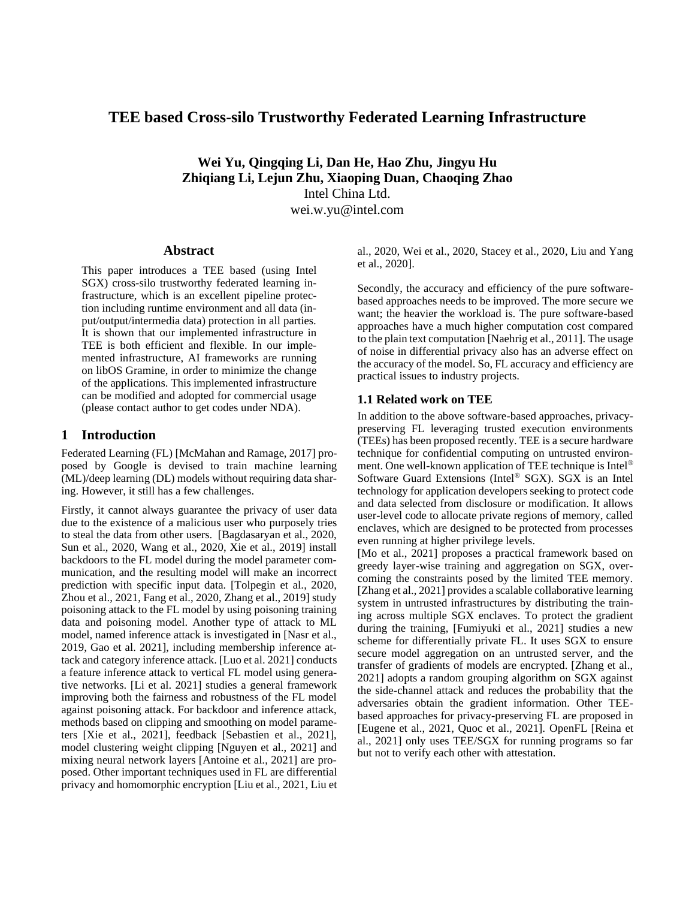# **TEE based Cross-silo Trustworthy Federated Learning Infrastructure**

**Wei Yu, Qingqing Li, Dan He, Hao Zhu, Jingyu Hu Zhiqiang Li, Lejun Zhu, Xiaoping Duan, Chaoqing Zhao** Intel China Ltd. wei.w.yu@intel.com

#### **Abstract**

This paper introduces a TEE based (using Intel SGX) cross-silo trustworthy federated learning infrastructure, which is an excellent pipeline protection including runtime environment and all data (input/output/intermedia data) protection in all parties. It is shown that our implemented infrastructure in TEE is both efficient and flexible. In our implemented infrastructure, AI frameworks are running on libOS Gramine, in order to minimize the change of the applications. This implemented infrastructure can be modified and adopted for commercial usage (please contact author to get codes under NDA).

#### **1 Introduction**

Federated Learning (FL) [McMahan and Ramage, 2017] proposed by Google is devised to train machine learning (ML)/deep learning (DL) models without requiring data sharing. However, it still has a few challenges.

Firstly, it cannot always guarantee the privacy of user data due to the existence of a malicious user who purposely tries to steal the data from other users. [Bagdasaryan et al., 2020, Sun et al., 2020, Wang et al., 2020, Xie et al., 2019] install backdoors to the FL model during the model parameter communication, and the resulting model will make an incorrect prediction with specific input data. [Tolpegin et al., 2020, Zhou et al., 2021, Fang et al., 2020, Zhang et al., 2019] study poisoning attack to the FL model by using poisoning training data and poisoning model. Another type of attack to ML model, named inference attack is investigated in [Nasr et al., 2019, Gao et al. 2021], including membership inference attack and category inference attack. [Luo et al. 2021] conducts a feature inference attack to vertical FL model using generative networks. [Li et al. 2021] studies a general framework improving both the fairness and robustness of the FL model against poisoning attack. For backdoor and inference attack, methods based on clipping and smoothing on model parameters [Xie et al., 2021], feedback [Sebastien et al., 2021], model clustering weight clipping [Nguyen et al., 2021] and mixing neural network layers [Antoine et al., 2021] are proposed. Other important techniques used in FL are differential privacy and homomorphic encryption [Liu et al., 2021, Liu et al., 2020, Wei et al., 2020, Stacey et al., 2020, Liu and Yang et al., 2020].

Secondly, the accuracy and efficiency of the pure softwarebased approaches needs to be improved. The more secure we want; the heavier the workload is. The pure software-based approaches have a much higher computation cost compared to the plain text computation [Naehrig et al., 2011]. The usage of noise in differential privacy also has an adverse effect on the accuracy of the model. So, FL accuracy and efficiency are practical issues to industry projects.

#### **1.1 Related work on TEE**

In addition to the above software-based approaches, privacypreserving FL leveraging trusted execution environments (TEEs) has been proposed recently. TEE is a secure hardware technique for confidential computing on untrusted environment. One well-known application of TEE technique is Intel® Software Guard Extensions (Intel® SGX). SGX is an Intel technology for application developers seeking to protect code and data selected from disclosure or modification. It allows user-level code to allocate private regions of memory, called enclaves, which are designed to be protected from processes even running at higher privilege levels.

[Mo et al., 2021] proposes a practical framework based on greedy layer-wise training and aggregation on SGX, overcoming the constraints posed by the limited TEE memory. [Zhang et al., 2021] provides a scalable collaborative learning system in untrusted infrastructures by distributing the training across multiple SGX enclaves. To protect the gradient during the training, [Fumiyuki et al., 2021] studies a new scheme for differentially private FL. It uses SGX to ensure secure model aggregation on an untrusted server, and the transfer of gradients of models are encrypted. [Zhang et al., 2021] adopts a random grouping algorithm on SGX against the side-channel attack and reduces the probability that the adversaries obtain the gradient information. Other TEEbased approaches for privacy-preserving FL are proposed in [Eugene et al., 2021, Quoc et al., 2021]. OpenFL [Reina et al., 2021] only uses TEE/SGX for running programs so far but not to verify each other with attestation.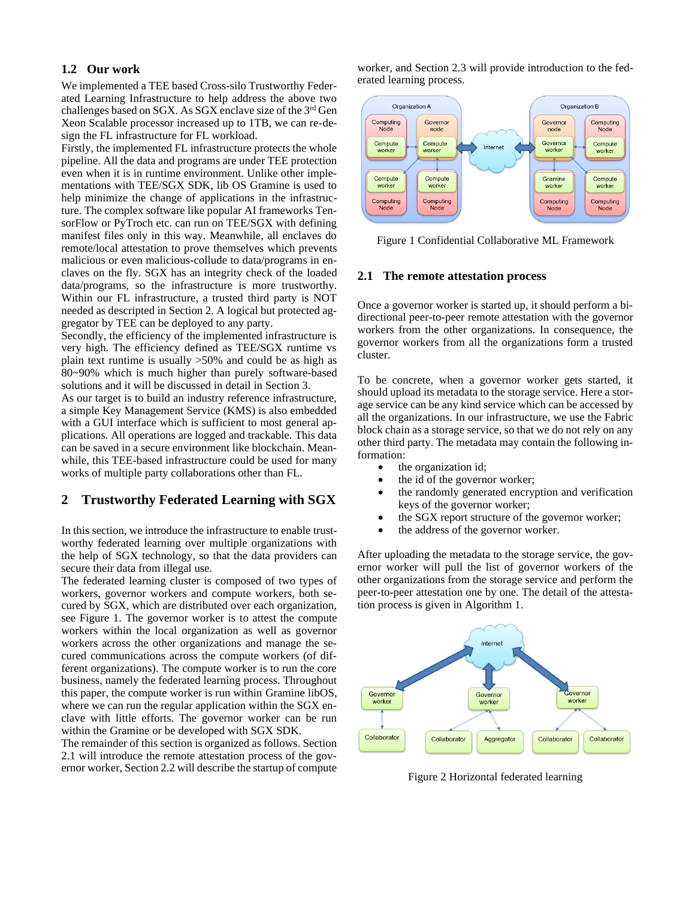#### **1.2 Our work**

We implemented a TEE based Cross-silo Trustworthy Federated Learning Infrastructure to help address the above two challenges based on SGX. As SGX enclave size of the 3rd Gen Xeon Scalable processor increased up to 1TB, we can re-design the FL infrastructure for FL workload.

Firstly, the implemented FL infrastructure protects the whole pipeline. All the data and programs are under TEE protection even when it is in runtime environment. Unlike other implementations with TEE/SGX SDK, lib OS Gramine is used to help minimize the change of applications in the infrastructure. The complex software like popular AI frameworks TensorFlow or PyTroch etc. can run on TEE/SGX with defining manifest files only in this way. Meanwhile, all enclaves do remote/local attestation to prove themselves which prevents malicious or even malicious-collude to data/programs in enclaves on the fly. SGX has an integrity check of the loaded data/programs, so the infrastructure is more trustworthy. Within our FL infrastructure, a trusted third party is NOT needed as descripted in Section 2. A logical but protected aggregator by TEE can be deployed to any party.

Secondly, the efficiency of the implemented infrastructure is very high. The efficiency defined as TEE/SGX runtime vs plain text runtime is usually >50% and could be as high as 80~90% which is much higher than purely software-based solutions and it will be discussed in detail in Section 3.

As our target is to build an industry reference infrastructure, a simple Key Management Service (KMS) is also embedded with a GUI interface which is sufficient to most general applications. All operations are logged and trackable. This data can be saved in a secure environment like blockchain. Meanwhile, this TEE-based infrastructure could be used for many works of multiple party collaborations other than FL.

## **2 Trustworthy Federated Learning with SGX**

In this section, we introduce the infrastructure to enable trustworthy federated learning over multiple organizations with the help of SGX technology, so that the data providers can secure their data from illegal use.

The federated learning cluster is composed of two types of workers, governor workers and compute workers, both secured by SGX, which are distributed over each organization, see Figure 1. The governor worker is to attest the compute workers within the local organization as well as governor workers across the other organizations and manage the secured communications across the compute workers (of different organizations). The compute worker is to run the core business, namely the federated learning process. Throughout this paper, the compute worker is run within Gramine libOS, where we can run the regular application within the SGX enclave with little efforts. The governor worker can be run within the Gramine or be developed with SGX SDK.

The remainder of this section is organized as follows. Section 2.1 will introduce the remote attestation process of the governor worker, Section 2.2 will describe the startup of compute worker, and Section 2.3 will provide introduction to the federated learning process.



Figure 1 Confidential Collaborative ML Framework

#### **2.1 The remote attestation process**

Once a governor worker is started up, it should perform a bidirectional peer-to-peer remote attestation with the governor workers from the other organizations. In consequence, the governor workers from all the organizations form a trusted cluster.

To be concrete, when a governor worker gets started, it should upload its metadata to the storage service. Here a storage service can be any kind service which can be accessed by all the organizations. In our infrastructure, we use the Fabric block chain as a storage service, so that we do not rely on any other third party. The metadata may contain the following information:

- the organization id;
- the id of the governor worker;
- the randomly generated encryption and verification keys of the governor worker;
- the SGX report structure of the governor worker;
- the address of the governor worker.

After uploading the metadata to the storage service, the governor worker will pull the list of governor workers of the other organizations from the storage service and perform the peer-to-peer attestation one by one. The detail of the attestation process is given in Algorithm 1.



Figure 2 Horizontal federated learning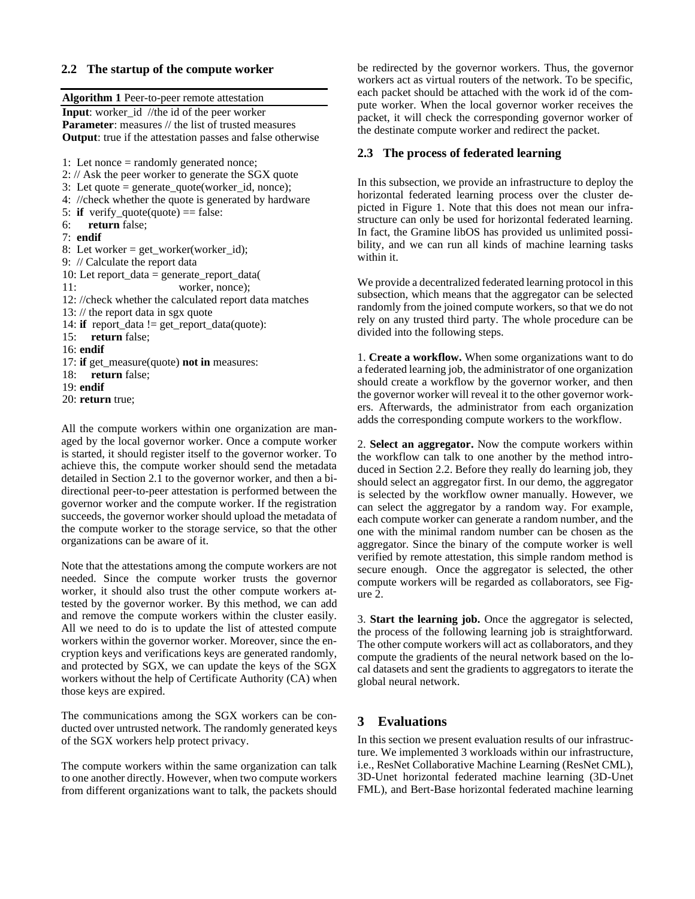#### **2.2 The startup of the compute worker**

**Algorithm 1** Peer-to-peer remote attestation

**Input**: worker\_id //the id of the peer worker **Parameter**: measures // the list of trusted measures **Output**: true if the attestation passes and false otherwise

1: Let nonce = randomly generated nonce; 2: // Ask the peer worker to generate the SGX quote 3: Let quote  $=$  generate\_quote(worker\_id, nonce); 4: //check whether the quote is generated by hardware 5: **if** verify\_quote(quote) == false: 6: **return** false; 7: **endif** 8: Let worker = get\_worker(worker\_id); 9: // Calculate the report data 10: Let report\_data = generate\_report\_data( 11: worker, nonce); 12: //check whether the calculated report data matches 13: // the report data in sgx quote 14: **if** report\_data != get\_report\_data(quote): 15: **return** false; 16: **endif** 17: **if** get\_measure(quote) **not in** measures: 18: **return** false; 19: **endif** 20: **return** true;

All the compute workers within one organization are managed by the local governor worker. Once a compute worker is started, it should register itself to the governor worker. To achieve this, the compute worker should send the metadata detailed in Section 2.1 to the governor worker, and then a bidirectional peer-to-peer attestation is performed between the governor worker and the compute worker. If the registration succeeds, the governor worker should upload the metadata of the compute worker to the storage service, so that the other organizations can be aware of it.

Note that the attestations among the compute workers are not needed. Since the compute worker trusts the governor worker, it should also trust the other compute workers attested by the governor worker. By this method, we can add and remove the compute workers within the cluster easily. All we need to do is to update the list of attested compute workers within the governor worker. Moreover, since the encryption keys and verifications keys are generated randomly, and protected by SGX, we can update the keys of the SGX workers without the help of Certificate Authority (CA) when those keys are expired.

The communications among the SGX workers can be conducted over untrusted network. The randomly generated keys of the SGX workers help protect privacy.

The compute workers within the same organization can talk to one another directly. However, when two compute workers from different organizations want to talk, the packets should be redirected by the governor workers. Thus, the governor workers act as virtual routers of the network. To be specific, each packet should be attached with the work id of the compute worker. When the local governor worker receives the packet, it will check the corresponding governor worker of the destinate compute worker and redirect the packet.

#### **2.3 The process of federated learning**

In this subsection, we provide an infrastructure to deploy the horizontal federated learning process over the cluster depicted in Figure 1. Note that this does not mean our infrastructure can only be used for horizontal federated learning. In fact, the Gramine libOS has provided us unlimited possibility, and we can run all kinds of machine learning tasks within it.

We provide a decentralized federated learning protocol in this subsection, which means that the aggregator can be selected randomly from the joined compute workers, so that we do not rely on any trusted third party. The whole procedure can be divided into the following steps.

1. **Create a workflow.** When some organizations want to do a federated learning job, the administrator of one organization should create a workflow by the governor worker, and then the governor worker will reveal it to the other governor workers. Afterwards, the administrator from each organization adds the corresponding compute workers to the workflow.

2. **Select an aggregator.** Now the compute workers within the workflow can talk to one another by the method introduced in Section 2.2. Before they really do learning job, they should select an aggregator first. In our demo, the aggregator is selected by the workflow owner manually. However, we can select the aggregator by a random way. For example, each compute worker can generate a random number, and the one with the minimal random number can be chosen as the aggregator. Since the binary of the compute worker is well verified by remote attestation, this simple random method is secure enough. Once the aggregator is selected, the other compute workers will be regarded as collaborators, see Figure 2.

3. **Start the learning job.** Once the aggregator is selected, the process of the following learning job is straightforward. The other compute workers will act as collaborators, and they compute the gradients of the neural network based on the local datasets and sent the gradients to aggregators to iterate the global neural network.

### **3 Evaluations**

In this section we present evaluation results of our infrastructure. We implemented 3 workloads within our infrastructure, i.e., ResNet Collaborative Machine Learning (ResNet CML), 3D-Unet horizontal federated machine learning (3D-Unet FML), and Bert-Base horizontal federated machine learning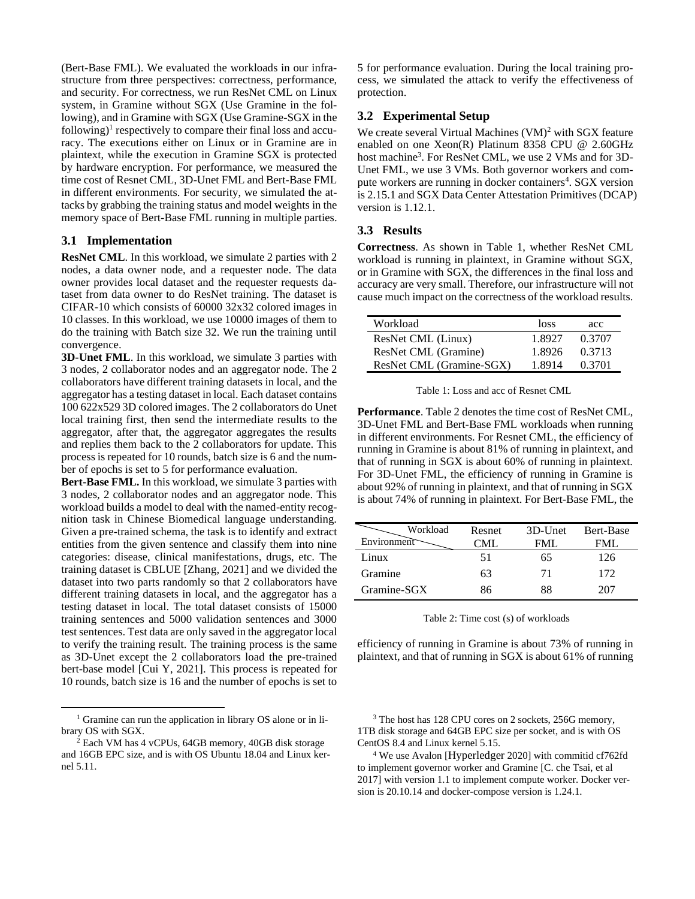(Bert-Base FML). We evaluated the workloads in our infrastructure from three perspectives: correctness, performance, and security. For correctness, we run ResNet CML on Linux system, in Gramine without SGX (Use Gramine in the following), and in Gramine with SGX (Use Gramine-SGX in the following)<sup>1</sup> respectively to compare their final loss and accuracy. The executions either on Linux or in Gramine are in plaintext, while the execution in Gramine SGX is protected by hardware encryption. For performance, we measured the time cost of Resnet CML, 3D-Unet FML and Bert-Base FML in different environments. For security, we simulated the attacks by grabbing the training status and model weights in the memory space of Bert-Base FML running in multiple parties.

#### **3.1 Implementation**

**ResNet CML**. In this workload, we simulate 2 parties with 2 nodes, a data owner node, and a requester node. The data owner provides local dataset and the requester requests dataset from data owner to do ResNet training. The dataset is CIFAR-10 which consists of 60000 32x32 colored images in 10 classes. In this workload, we use 10000 images of them to do the training with Batch size 32. We run the training until convergence.

**3D-Unet FML**. In this workload, we simulate 3 parties with 3 nodes, 2 collaborator nodes and an aggregator node. The 2 collaborators have different training datasets in local, and the aggregator has a testing dataset in local. Each dataset contains 100 622x529 3D colored images. The 2 collaborators do Unet local training first, then send the intermediate results to the aggregator, after that, the aggregator aggregates the results and replies them back to the 2 collaborators for update. This process is repeated for 10 rounds, batch size is 6 and the number of epochs is set to 5 for performance evaluation.

**Bert-Base FML.** In this workload, we simulate 3 parties with 3 nodes, 2 collaborator nodes and an aggregator node. This workload builds a model to deal with the named-entity recognition task in Chinese Biomedical language understanding. Given a pre-trained schema, the task is to identify and extract entities from the given sentence and classify them into nine categories: disease, clinical manifestations, drugs, etc. The training dataset is CBLUE [Zhang, 2021] and we divided the dataset into two parts randomly so that 2 collaborators have different training datasets in local, and the aggregator has a testing dataset in local. The total dataset consists of 15000 training sentences and 5000 validation sentences and 3000 test sentences. Test data are only saved in the aggregator local to verify the training result. The training process is the same as 3D-Unet except the 2 collaborators load the pre-trained bert-base model [Cui Y, 2021]. This process is repeated for 10 rounds, batch size is 16 and the number of epochs is set to

<sup>1</sup> Gramine can run the application in library OS alone or in library OS with SGX.

5 for performance evaluation. During the local training process, we simulated the attack to verify the effectiveness of protection.

#### **3.2 Experimental Setup**

We create several Virtual Machines  $(VM)^2$  with SGX feature enabled on one Xeon(R) Platinum 8358 CPU @ 2.60GHz host machine<sup>3</sup>. For ResNet CML, we use 2 VMs and for 3D-Unet FML, we use 3 VMs. Both governor workers and compute workers are running in docker containers<sup>4</sup>. SGX version is 2.15.1 and SGX Data Center Attestation Primitives (DCAP) version is 1.12.1.

#### **3.3 Results**

**Correctness**. As shown in Table 1, whether ResNet CML workload is running in plaintext, in Gramine without SGX, or in Gramine with SGX, the differences in the final loss and accuracy are very small. Therefore, our infrastructure will not cause much impact on the correctness of the workload results.

| Workload                 | loss   | acc    |
|--------------------------|--------|--------|
| ResNet CML (Linux)       | 1.8927 | 0.3707 |
| ResNet CML (Gramine)     | 1.8926 | 0.3713 |
| ResNet CML (Gramine-SGX) | 1.8914 | 0.3701 |

Table 1: Loss and acc of Resnet CML

Performance. Table 2 denotes the time cost of ResNet CML, 3D-Unet FML and Bert-Base FML workloads when running in different environments. For Resnet CML, the efficiency of running in Gramine is about 81% of running in plaintext, and that of running in SGX is about 60% of running in plaintext. For 3D-Unet FML, the efficiency of running in Gramine is about 92% of running in plaintext, and that of running in SGX is about 74% of running in plaintext. For Bert-Base FML, the

| Workload<br>Environment | Resnet<br>CML | 3D-Unet<br>FML. | Bert-Base<br>FML. |
|-------------------------|---------------|-----------------|-------------------|
| Linux                   | 51            | 65              | 126               |
| Gramine                 | 63            | 71              | 172               |
| Gramine-SGX             | 86            | 88              | 207               |

Table 2: Time cost (s) of workloads

efficiency of running in Gramine is about 73% of running in plaintext, and that of running in SGX is about 61% of running

<sup>3</sup> The host has 128 CPU cores on 2 sockets, 256G memory, 1TB disk storage and 64GB EPC size per socket, and is with OS CentOS 8.4 and Linux kernel 5.15.

<sup>4</sup> We use Avalon [Hyperledger 2020] with commitid cf762fd to implement governor worker and Gramine [C. che Tsai, et al 2017] with version 1.1 to implement compute worker. Docker version is 20.10.14 and docker-compose version is 1.24.1.

<sup>2</sup> Each VM has 4 vCPUs, 64GB memory, 40GB disk storage and 16GB EPC size, and is with OS Ubuntu 18.04 and Linux kernel 5.11.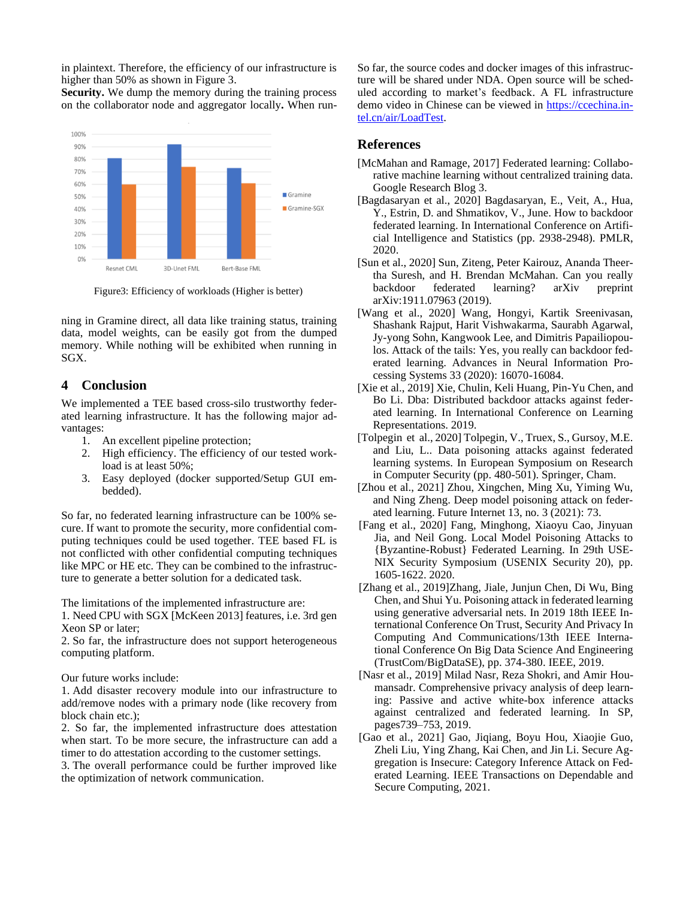in plaintext. Therefore, the efficiency of our infrastructure is higher than 50% as shown in Figure 3.

**Security.** We dump the memory during the training process on the collaborator node and aggregator locally**.** When run-



Figure3: Efficiency of workloads (Higher is better)

ning in Gramine direct, all data like training status, training data, model weights, can be easily got from the dumped memory. While nothing will be exhibited when running in SGX.

### **4 Conclusion**

We implemented a TEE based cross-silo trustworthy federated learning infrastructure. It has the following major advantages:

- 1. An excellent pipeline protection;
- 2. High efficiency. The efficiency of our tested workload is at least 50%;
- 3. Easy deployed (docker supported/Setup GUI embedded).

So far, no federated learning infrastructure can be 100% secure. If want to promote the security, more confidential computing techniques could be used together. TEE based FL is not conflicted with other confidential computing techniques like MPC or HE etc. They can be combined to the infrastructure to generate a better solution for a dedicated task.

The limitations of the implemented infrastructure are:

1. Need CPU with SGX [McKeen 2013] features, i.e. 3rd gen Xeon SP or later;

2. So far, the infrastructure does not support heterogeneous computing platform.

Our future works include:

1. Add disaster recovery module into our infrastructure to add/remove nodes with a primary node (like recovery from block chain etc.);

2. So far, the implemented infrastructure does attestation when start. To be more secure, the infrastructure can add a timer to do attestation according to the customer settings.

3. The overall performance could be further improved like the optimization of network communication.

So far, the source codes and docker images of this infrastructure will be shared under NDA. Open source will be scheduled according to market's feedback. A FL infrastructure demo video in Chinese can be viewed in [https://ccechina.in](https://ccechina.intel.cn/air/LoadTest)[tel.cn/air/LoadTest.](https://ccechina.intel.cn/air/LoadTest)

### **References**

- [McMahan and Ramage, 2017] Federated learning: Collaborative machine learning without centralized training data. Google Research Blog 3.
- [Bagdasaryan et al., 2020] Bagdasaryan, E., Veit, A., Hua, Y., Estrin, D. and Shmatikov, V., June. How to backdoor federated learning. In International Conference on Artificial Intelligence and Statistics (pp. 2938-2948). PMLR, 2020.
- [Sun et al., 2020] Sun, Ziteng, Peter Kairouz, Ananda Theertha Suresh, and H. Brendan McMahan. Can you really backdoor federated learning? arXiv preprint arXiv:1911.07963 (2019).
- [Wang et al., 2020] Wang, Hongyi, Kartik Sreenivasan, Shashank Rajput, Harit Vishwakarma, Saurabh Agarwal, Jy-yong Sohn, Kangwook Lee, and Dimitris Papailiopoulos. Attack of the tails: Yes, you really can backdoor federated learning. Advances in Neural Information Processing Systems 33 (2020): 16070-16084.
- [Xie et al., 2019] Xie, Chulin, Keli Huang, Pin-Yu Chen, and Bo Li. Dba: Distributed backdoor attacks against federated learning. In International Conference on Learning Representations. 2019.
- [Tolpegin et al., 2020] Tolpegin, V., Truex, S., Gursoy, M.E. and Liu, L.. Data poisoning attacks against federated learning systems. In European Symposium on Research in Computer Security (pp. 480-501). Springer, Cham.
- [Zhou et al., 2021] Zhou, Xingchen, Ming Xu, Yiming Wu, and Ning Zheng. Deep model poisoning attack on federated learning. Future Internet 13, no. 3 (2021): 73.
- [Fang et al., 2020] Fang, Minghong, Xiaoyu Cao, Jinyuan Jia, and Neil Gong. Local Model Poisoning Attacks to {Byzantine-Robust} Federated Learning. In 29th USE-NIX Security Symposium (USENIX Security 20), pp. 1605-1622. 2020.
- [Zhang et al., 2019]Zhang, Jiale, Junjun Chen, Di Wu, Bing Chen, and Shui Yu. Poisoning attack in federated learning using generative adversarial nets. In 2019 18th IEEE International Conference On Trust, Security And Privacy In Computing And Communications/13th IEEE International Conference On Big Data Science And Engineering (TrustCom/BigDataSE), pp. 374-380. IEEE, 2019.
- [Nasr et al., 2019] Milad Nasr, Reza Shokri, and Amir Houmansadr. Comprehensive privacy analysis of deep learning: Passive and active white-box inference attacks against centralized and federated learning. In SP, pages739–753, 2019.
- [Gao et al., 2021] Gao, Jiqiang, Boyu Hou, Xiaojie Guo, Zheli Liu, Ying Zhang, Kai Chen, and Jin Li. Secure Aggregation is Insecure: Category Inference Attack on Federated Learning. IEEE Transactions on Dependable and Secure Computing, 2021.